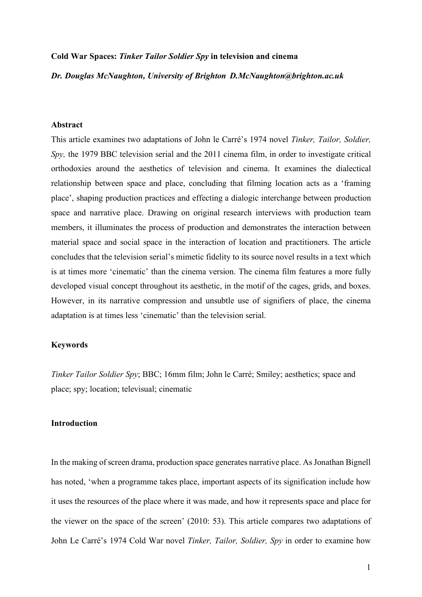#### **Cold War Spaces:** *Tinker Tailor Soldier Spy* **in television and cinema**

*Dr. Douglas McNaughton, University of Brighton D.McNaughton@brighton.ac.uk*

### **Abstract**

This article examines two adaptations of John le Carré's 1974 novel *Tinker, Tailor, Soldier, Spy,* the 1979 BBC television serial and the 2011 cinema film, in order to investigate critical orthodoxies around the aesthetics of television and cinema. It examines the dialectical relationship between space and place, concluding that filming location acts as a 'framing place', shaping production practices and effecting a dialogic interchange between production space and narrative place. Drawing on original research interviews with production team members, it illuminates the process of production and demonstrates the interaction between material space and social space in the interaction of location and practitioners. The article concludes that the television serial's mimetic fidelity to its source novel results in a text which is at times more 'cinematic' than the cinema version. The cinema film features a more fully developed visual concept throughout its aesthetic, in the motif of the cages, grids, and boxes. However, in its narrative compression and unsubtle use of signifiers of place, the cinema adaptation is at times less 'cinematic' than the television serial.

# **Keywords**

*Tinker Tailor Soldier Spy*; BBC; 16mm film; John le Carré; Smiley; aesthetics; space and place; spy; location; televisual; cinematic

# **Introduction**

In the making of screen drama, production space generates narrative place. As Jonathan Bignell has noted, 'when a programme takes place, important aspects of its signification include how it uses the resources of the place where it was made, and how it represents space and place for the viewer on the space of the screen' (2010: 53). This article compares two adaptations of John Le Carré's 1974 Cold War novel *Tinker, Tailor, Soldier, Spy* in order to examine how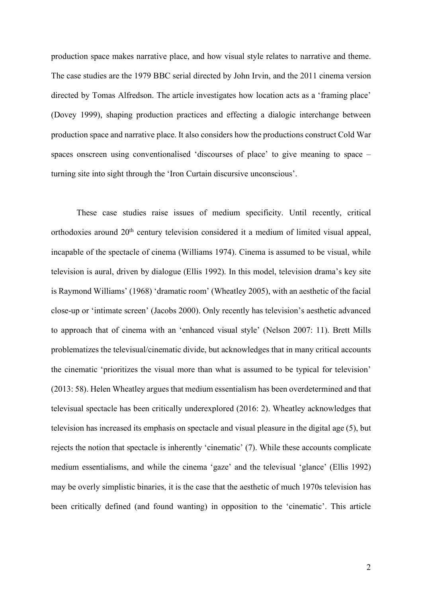production space makes narrative place, and how visual style relates to narrative and theme. The case studies are the 1979 BBC serial directed by John Irvin, and the 2011 cinema version directed by Tomas Alfredson. The article investigates how location acts as a 'framing place' (Dovey 1999), shaping production practices and effecting a dialogic interchange between production space and narrative place. It also considers how the productions construct Cold War spaces onscreen using conventionalised 'discourses of place' to give meaning to space – turning site into sight through the 'Iron Curtain discursive unconscious'.

These case studies raise issues of medium specificity. Until recently, critical orthodoxies around 20<sup>th</sup> century television considered it a medium of limited visual appeal, incapable of the spectacle of cinema (Williams 1974). Cinema is assumed to be visual, while television is aural, driven by dialogue (Ellis 1992). In this model, television drama's key site is Raymond Williams' (1968) 'dramatic room' (Wheatley 2005), with an aesthetic of the facial close-up or 'intimate screen' (Jacobs 2000). Only recently has television's aesthetic advanced to approach that of cinema with an 'enhanced visual style' (Nelson 2007: 11). Brett Mills problematizes the televisual/cinematic divide, but acknowledges that in many critical accounts the cinematic 'prioritizes the visual more than what is assumed to be typical for television' (2013: 58). Helen Wheatley argues that medium essentialism has been overdetermined and that televisual spectacle has been critically underexplored (2016: 2). Wheatley acknowledges that television has increased its emphasis on spectacle and visual pleasure in the digital age (5), but rejects the notion that spectacle is inherently 'cinematic' (7). While these accounts complicate medium essentialisms, and while the cinema 'gaze' and the televisual 'glance' (Ellis 1992) may be overly simplistic binaries, it is the case that the aesthetic of much 1970s television has been critically defined (and found wanting) in opposition to the 'cinematic'. This article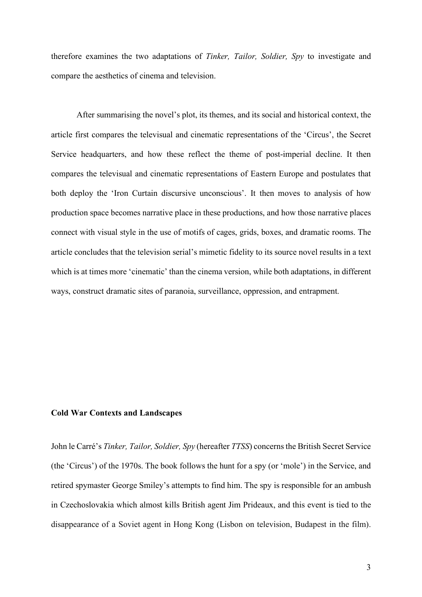therefore examines the two adaptations of *Tinker, Tailor, Soldier, Spy* to investigate and compare the aesthetics of cinema and television.

After summarising the novel's plot, its themes, and its social and historical context, the article first compares the televisual and cinematic representations of the 'Circus', the Secret Service headquarters, and how these reflect the theme of post-imperial decline. It then compares the televisual and cinematic representations of Eastern Europe and postulates that both deploy the 'Iron Curtain discursive unconscious'. It then moves to analysis of how production space becomes narrative place in these productions, and how those narrative places connect with visual style in the use of motifs of cages, grids, boxes, and dramatic rooms. The article concludes that the television serial's mimetic fidelity to its source novel results in a text which is at times more 'cinematic' than the cinema version, while both adaptations, in different ways, construct dramatic sites of paranoia, surveillance, oppression, and entrapment.

## **Cold War Contexts and Landscapes**

John le Carré's *Tinker, Tailor, Soldier, Spy* (hereafter *TTSS*) concerns the British Secret Service (the 'Circus') of the 1970s. The book follows the hunt for a spy (or 'mole') in the Service, and retired spymaster George Smiley's attempts to find him. The spy is responsible for an ambush in Czechoslovakia which almost kills British agent Jim Prideaux, and this event is tied to the disappearance of a Soviet agent in Hong Kong (Lisbon on television, Budapest in the film).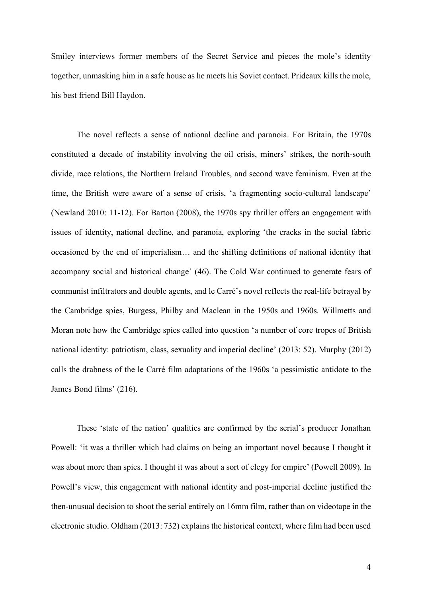Smiley interviews former members of the Secret Service and pieces the mole's identity together, unmasking him in a safe house as he meets his Soviet contact. Prideaux kills the mole, his best friend Bill Haydon.

The novel reflects a sense of national decline and paranoia. For Britain, the 1970s constituted a decade of instability involving the oil crisis, miners' strikes, the north-south divide, race relations, the Northern Ireland Troubles, and second wave feminism. Even at the time, the British were aware of a sense of crisis, 'a fragmenting socio-cultural landscape' (Newland 2010: 11-12). For Barton (2008), the 1970s spy thriller offers an engagement with issues of identity, national decline, and paranoia, exploring 'the cracks in the social fabric occasioned by the end of imperialism… and the shifting definitions of national identity that accompany social and historical change' (46). The Cold War continued to generate fears of communist infiltrators and double agents, and le Carré's novel reflects the real-life betrayal by the Cambridge spies, Burgess, Philby and Maclean in the 1950s and 1960s. Willmetts and Moran note how the Cambridge spies called into question 'a number of core tropes of British national identity: patriotism, class, sexuality and imperial decline' (2013: 52). Murphy (2012) calls the drabness of the le Carré film adaptations of the 1960s 'a pessimistic antidote to the James Bond films' (216).

These 'state of the nation' qualities are confirmed by the serial's producer Jonathan Powell: 'it was a thriller which had claims on being an important novel because I thought it was about more than spies. I thought it was about a sort of elegy for empire' (Powell 2009). In Powell's view, this engagement with national identity and post-imperial decline justified the then-unusual decision to shoot the serial entirely on 16mm film, rather than on videotape in the electronic studio. Oldham (2013: 732) explains the historical context, where film had been used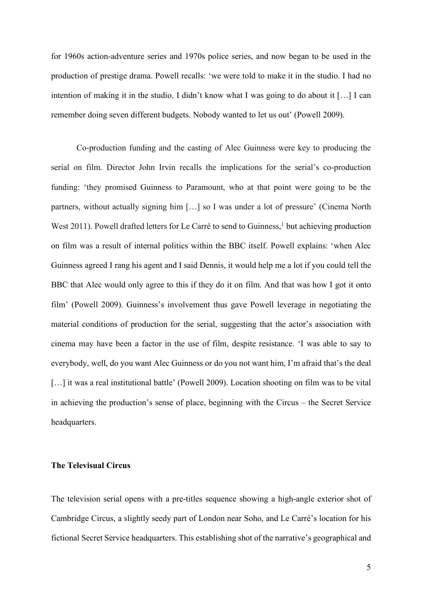for 1960s action-adventure series and 1970s police series, and now began to be used in the production of prestige drama. Powell recalls: 'we were told to make it in the studio. I had no intention of making it in the studio. I didn't know what I was going to do about it […] I can remember doing seven different budgets. Nobody wanted to let us out' (Powell 2009).

Co-production funding and the casting of Alec Guinness were key to producing the serial on film. Director John Irvin recalls the implications for the serial's co-production funding: 'they promised Guinness to Paramount, who at that point were going to be the partners, without actually signing him […] so I was under a lot of pressure' (Cinema North West 2011). Powell drafted letters for Le Carré to send to Guinness,<sup>1</sup> but achieving production on film was a result of internal politics within the BBC itself. Powell explains: 'when Alec Guinness agreed I rang his agent and I said Dennis, it would help me a lot if you could tell the BBC that Alec would only agree to this if they do it on film. And that was how I got it onto film' (Powell 2009). Guinness's involvement thus gave Powell leverage in negotiating the material conditions of production for the serial, suggesting that the actor's association with cinema may have been a factor in the use of film, despite resistance. 'I was able to say to everybody, well, do you want Alec Guinness or do you not want him, I'm afraid that's the deal [...] it was a real institutional battle' (Powell 2009). Location shooting on film was to be vital in achieving the production's sense of place, beginning with the Circus – the Secret Service headquarters.

#### **The Televisual Circus**

The television serial opens with a pre-titles sequence showing a high-angle exterior shot of Cambridge Circus, a slightly seedy part of London near Soho, and Le Carré's location for his fictional Secret Service headquarters. This establishing shot of the narrative's geographical and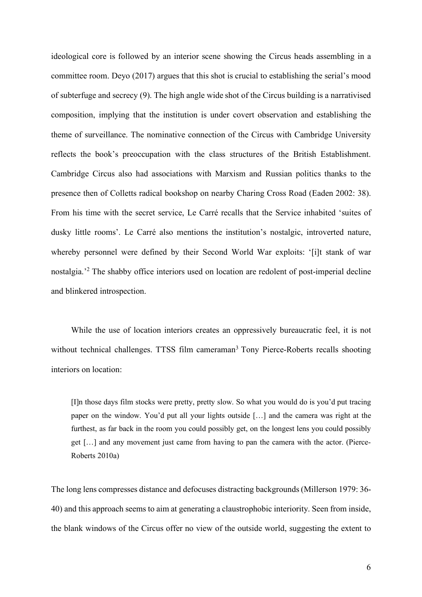ideological core is followed by an interior scene showing the Circus heads assembling in a committee room. Deyo (2017) argues that this shot is crucial to establishing the serial's mood of subterfuge and secrecy (9). The high angle wide shot of the Circus building is a narrativised composition, implying that the institution is under covert observation and establishing the theme of surveillance. The nominative connection of the Circus with Cambridge University reflects the book's preoccupation with the class structures of the British Establishment. Cambridge Circus also had associations with Marxism and Russian politics thanks to the presence then of Colletts radical bookshop on nearby Charing Cross Road (Eaden 2002: 38). From his time with the secret service, Le Carré recalls that the Service inhabited 'suites of dusky little rooms'. Le Carré also mentions the institution's nostalgic, introverted nature, whereby personnel were defined by their Second World War exploits: '[i]t stank of war nostalgia.'2 The shabby office interiors used on location are redolent of post-imperial decline and blinkered introspection.

While the use of location interiors creates an oppressively bureaucratic feel, it is not without technical challenges. TTSS film cameraman<sup>3</sup> Tony Pierce-Roberts recalls shooting interiors on location:

[I]n those days film stocks were pretty, pretty slow. So what you would do is you'd put tracing paper on the window. You'd put all your lights outside […] and the camera was right at the furthest, as far back in the room you could possibly get, on the longest lens you could possibly get […] and any movement just came from having to pan the camera with the actor. (Pierce-Roberts 2010a)

The long lens compresses distance and defocuses distracting backgrounds (Millerson 1979: 36- 40) and this approach seems to aim at generating a claustrophobic interiority. Seen from inside, the blank windows of the Circus offer no view of the outside world, suggesting the extent to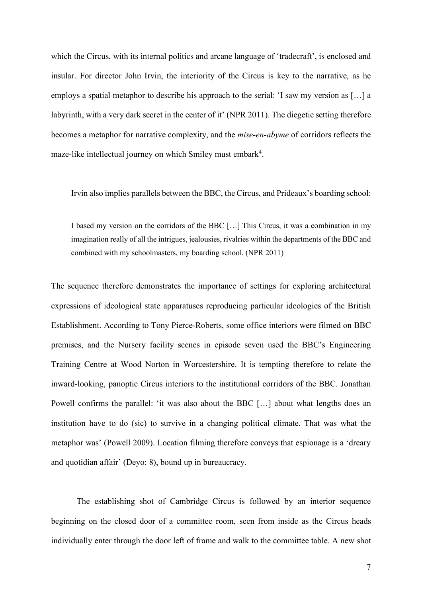which the Circus, with its internal politics and arcane language of 'tradecraft', is enclosed and insular. For director John Irvin, the interiority of the Circus is key to the narrative, as he employs a spatial metaphor to describe his approach to the serial: 'I saw my version as […] a labyrinth, with a very dark secret in the center of it' (NPR 2011). The diegetic setting therefore becomes a metaphor for narrative complexity, and the *mise-en-abyme* of corridors reflects the maze-like intellectual journey on which Smiley must embark<sup>4</sup>.

Irvin also implies parallels between the BBC, the Circus, and Prideaux's boarding school:

I based my version on the corridors of the BBC […] This Circus, it was a combination in my imagination really of all the intrigues, jealousies, rivalries within the departments of the BBC and combined with my schoolmasters, my boarding school. (NPR 2011)

The sequence therefore demonstrates the importance of settings for exploring architectural expressions of ideological state apparatuses reproducing particular ideologies of the British Establishment. According to Tony Pierce-Roberts, some office interiors were filmed on BBC premises, and the Nursery facility scenes in episode seven used the BBC's Engineering Training Centre at Wood Norton in Worcestershire. It is tempting therefore to relate the inward-looking, panoptic Circus interiors to the institutional corridors of the BBC. Jonathan Powell confirms the parallel: 'it was also about the BBC [...] about what lengths does an institution have to do (sic) to survive in a changing political climate. That was what the metaphor was' (Powell 2009). Location filming therefore conveys that espionage is a 'dreary and quotidian affair' (Deyo: 8), bound up in bureaucracy.

The establishing shot of Cambridge Circus is followed by an interior sequence beginning on the closed door of a committee room, seen from inside as the Circus heads individually enter through the door left of frame and walk to the committee table. A new shot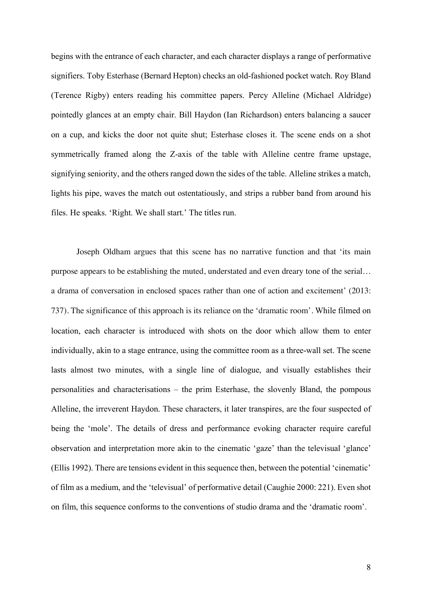begins with the entrance of each character, and each character displays a range of performative signifiers. Toby Esterhase (Bernard Hepton) checks an old-fashioned pocket watch. Roy Bland (Terence Rigby) enters reading his committee papers. Percy Alleline (Michael Aldridge) pointedly glances at an empty chair. Bill Haydon (Ian Richardson) enters balancing a saucer on a cup, and kicks the door not quite shut; Esterhase closes it. The scene ends on a shot symmetrically framed along the Z-axis of the table with Alleline centre frame upstage, signifying seniority, and the others ranged down the sides of the table. Alleline strikes a match, lights his pipe, waves the match out ostentatiously, and strips a rubber band from around his files. He speaks. 'Right. We shall start.' The titles run.

Joseph Oldham argues that this scene has no narrative function and that 'its main purpose appears to be establishing the muted, understated and even dreary tone of the serial… a drama of conversation in enclosed spaces rather than one of action and excitement' (2013: 737). The significance of this approach is its reliance on the 'dramatic room'. While filmed on location, each character is introduced with shots on the door which allow them to enter individually, akin to a stage entrance, using the committee room as a three-wall set. The scene lasts almost two minutes, with a single line of dialogue, and visually establishes their personalities and characterisations – the prim Esterhase, the slovenly Bland, the pompous Alleline, the irreverent Haydon. These characters, it later transpires, are the four suspected of being the 'mole'. The details of dress and performance evoking character require careful observation and interpretation more akin to the cinematic 'gaze' than the televisual 'glance' (Ellis 1992). There are tensions evident in this sequence then, between the potential 'cinematic' of film as a medium, and the 'televisual' of performative detail (Caughie 2000: 221). Even shot on film, this sequence conforms to the conventions of studio drama and the 'dramatic room'.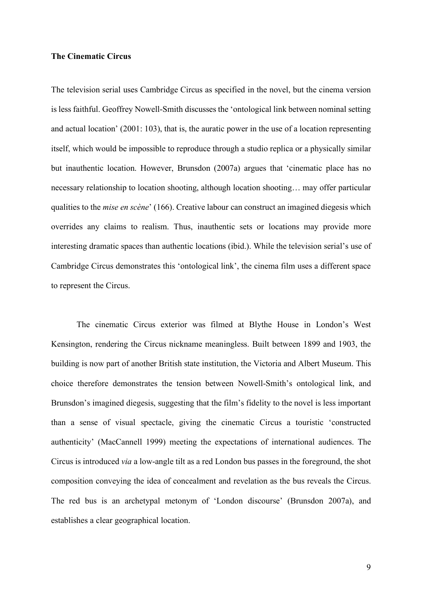# **The Cinematic Circus**

The television serial uses Cambridge Circus as specified in the novel, but the cinema version is less faithful. Geoffrey Nowell-Smith discusses the 'ontological link between nominal setting and actual location' (2001: 103), that is, the auratic power in the use of a location representing itself, which would be impossible to reproduce through a studio replica or a physically similar but inauthentic location. However, Brunsdon (2007a) argues that 'cinematic place has no necessary relationship to location shooting, although location shooting… may offer particular qualities to the *mise en scène*' (166). Creative labour can construct an imagined diegesis which overrides any claims to realism. Thus, inauthentic sets or locations may provide more interesting dramatic spaces than authentic locations (ibid.). While the television serial's use of Cambridge Circus demonstrates this 'ontological link', the cinema film uses a different space to represent the Circus.

The cinematic Circus exterior was filmed at Blythe House in London's West Kensington, rendering the Circus nickname meaningless. Built between 1899 and 1903, the building is now part of another British state institution, the Victoria and Albert Museum. This choice therefore demonstrates the tension between Nowell-Smith's ontological link, and Brunsdon's imagined diegesis, suggesting that the film's fidelity to the novel is less important than a sense of visual spectacle, giving the cinematic Circus a touristic 'constructed authenticity' (MacCannell 1999) meeting the expectations of international audiences. The Circus is introduced *via* a low-angle tilt as a red London bus passes in the foreground, the shot composition conveying the idea of concealment and revelation as the bus reveals the Circus. The red bus is an archetypal metonym of 'London discourse' (Brunsdon 2007a), and establishes a clear geographical location.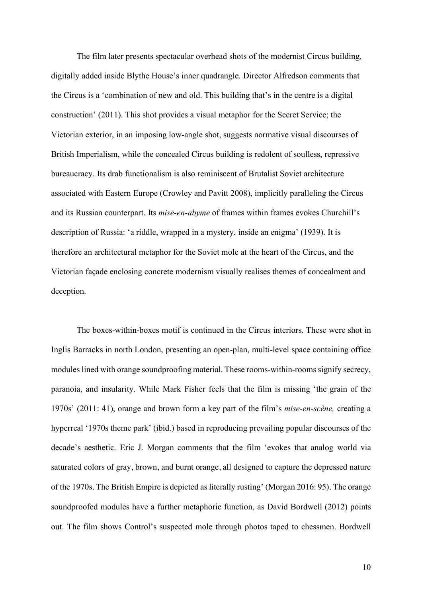The film later presents spectacular overhead shots of the modernist Circus building, digitally added inside Blythe House's inner quadrangle. Director Alfredson comments that the Circus is a 'combination of new and old. This building that's in the centre is a digital construction' (2011). This shot provides a visual metaphor for the Secret Service; the Victorian exterior, in an imposing low-angle shot, suggests normative visual discourses of British Imperialism, while the concealed Circus building is redolent of soulless, repressive bureaucracy. Its drab functionalism is also reminiscent of Brutalist Soviet architecture associated with Eastern Europe (Crowley and Pavitt 2008), implicitly paralleling the Circus and its Russian counterpart. Its *mise-en-abyme* of frames within frames evokes Churchill's description of Russia: 'a riddle, wrapped in a mystery, inside an enigma' (1939). It is therefore an architectural metaphor for the Soviet mole at the heart of the Circus, and the Victorian façade enclosing concrete modernism visually realises themes of concealment and deception.

The boxes-within-boxes motif is continued in the Circus interiors. These were shot in Inglis Barracks in north London, presenting an open-plan, multi-level space containing office modules lined with orange soundproofing material. These rooms-within-rooms signify secrecy, paranoia, and insularity. While Mark Fisher feels that the film is missing 'the grain of the 1970s' (2011: 41), orange and brown form a key part of the film's *mise-en-scène,* creating a hyperreal '1970s theme park' (ibid.) based in reproducing prevailing popular discourses of the decade's aesthetic. Eric J. Morgan comments that the film 'evokes that analog world via saturated colors of gray, brown, and burnt orange, all designed to capture the depressed nature of the 1970s. The British Empire is depicted as literally rusting' (Morgan 2016: 95). The orange soundproofed modules have a further metaphoric function, as David Bordwell (2012) points out. The film shows Control's suspected mole through photos taped to chessmen. Bordwell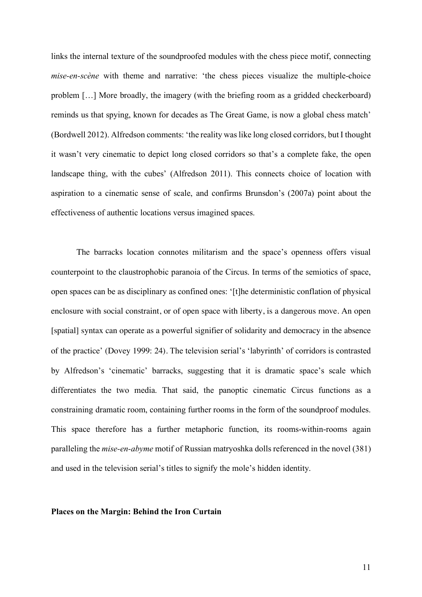links the internal texture of the soundproofed modules with the chess piece motif, connecting *mise-en-scène* with theme and narrative: 'the chess pieces visualize the multiple-choice problem […] More broadly, the imagery (with the briefing room as a gridded checkerboard) reminds us that spying, known for decades as The Great Game, is now a global chess match' (Bordwell 2012). Alfredson comments: 'the reality was like long closed corridors, but I thought it wasn't very cinematic to depict long closed corridors so that's a complete fake, the open landscape thing, with the cubes' (Alfredson 2011). This connects choice of location with aspiration to a cinematic sense of scale, and confirms Brunsdon's (2007a) point about the effectiveness of authentic locations versus imagined spaces.

The barracks location connotes militarism and the space's openness offers visual counterpoint to the claustrophobic paranoia of the Circus. In terms of the semiotics of space, open spaces can be as disciplinary as confined ones: '[t]he deterministic conflation of physical enclosure with social constraint, or of open space with liberty, is a dangerous move. An open [spatial] syntax can operate as a powerful signifier of solidarity and democracy in the absence of the practice' (Dovey 1999: 24). The television serial's 'labyrinth' of corridors is contrasted by Alfredson's 'cinematic' barracks, suggesting that it is dramatic space's scale which differentiates the two media. That said, the panoptic cinematic Circus functions as a constraining dramatic room, containing further rooms in the form of the soundproof modules. This space therefore has a further metaphoric function, its rooms-within-rooms again paralleling the *mise-en-abyme* motif of Russian matryoshka dolls referenced in the novel (381) and used in the television serial's titles to signify the mole's hidden identity.

#### **Places on the Margin: Behind the Iron Curtain**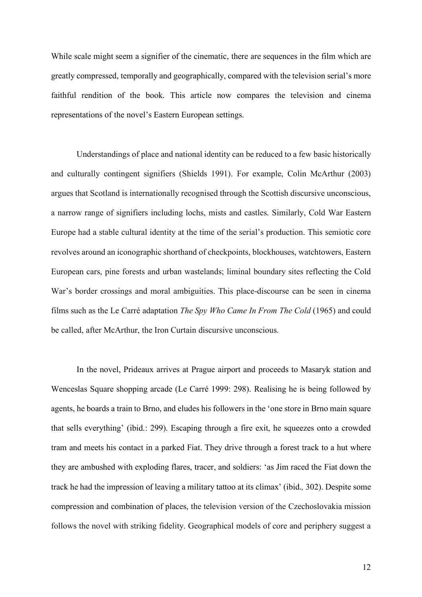While scale might seem a signifier of the cinematic, there are sequences in the film which are greatly compressed, temporally and geographically, compared with the television serial's more faithful rendition of the book. This article now compares the television and cinema representations of the novel's Eastern European settings.

Understandings of place and national identity can be reduced to a few basic historically and culturally contingent signifiers (Shields 1991). For example, Colin McArthur (2003) argues that Scotland is internationally recognised through the Scottish discursive unconscious, a narrow range of signifiers including lochs, mists and castles. Similarly, Cold War Eastern Europe had a stable cultural identity at the time of the serial's production. This semiotic core revolves around an iconographic shorthand of checkpoints, blockhouses, watchtowers, Eastern European cars, pine forests and urban wastelands; liminal boundary sites reflecting the Cold War's border crossings and moral ambiguities. This place-discourse can be seen in cinema films such as the Le Carré adaptation *The Spy Who Came In From The Cold* (1965) and could be called, after McArthur, the Iron Curtain discursive unconscious.

In the novel, Prideaux arrives at Prague airport and proceeds to Masaryk station and Wenceslas Square shopping arcade (Le Carré 1999: 298). Realising he is being followed by agents, he boards a train to Brno, and eludes his followers in the 'one store in Brno main square that sells everything' (ibid.: 299). Escaping through a fire exit, he squeezes onto a crowded tram and meets his contact in a parked Fiat. They drive through a forest track to a hut where they are ambushed with exploding flares, tracer, and soldiers: 'as Jim raced the Fiat down the track he had the impression of leaving a military tattoo at its climax' (ibid.*,* 302). Despite some compression and combination of places, the television version of the Czechoslovakia mission follows the novel with striking fidelity. Geographical models of core and periphery suggest a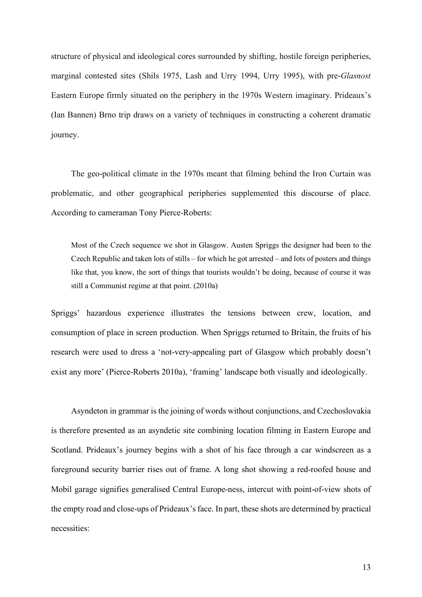structure of physical and ideological cores surrounded by shifting, hostile foreign peripheries, marginal contested sites (Shils 1975, Lash and Urry 1994, Urry 1995), with pre-*Glasnost* Eastern Europe firmly situated on the periphery in the 1970s Western imaginary. Prideaux's (Ian Bannen) Brno trip draws on a variety of techniques in constructing a coherent dramatic journey.

The geo-political climate in the 1970s meant that filming behind the Iron Curtain was problematic, and other geographical peripheries supplemented this discourse of place. According to cameraman Tony Pierce-Roberts:

Most of the Czech sequence we shot in Glasgow. Austen Spriggs the designer had been to the Czech Republic and taken lots of stills – for which he got arrested – and lots of posters and things like that, you know, the sort of things that tourists wouldn't be doing, because of course it was still a Communist regime at that point. (2010a)

Spriggs' hazardous experience illustrates the tensions between crew, location, and consumption of place in screen production. When Spriggs returned to Britain, the fruits of his research were used to dress a 'not-very-appealing part of Glasgow which probably doesn't exist any more' (Pierce-Roberts 2010a), 'framing' landscape both visually and ideologically.

Asyndeton in grammar is the joining of words without conjunctions, and Czechoslovakia is therefore presented as an asyndetic site combining location filming in Eastern Europe and Scotland. Prideaux's journey begins with a shot of his face through a car windscreen as a foreground security barrier rises out of frame. A long shot showing a red-roofed house and Mobil garage signifies generalised Central Europe-ness, intercut with point-of-view shots of the empty road and close-ups of Prideaux's face. In part, these shots are determined by practical necessities: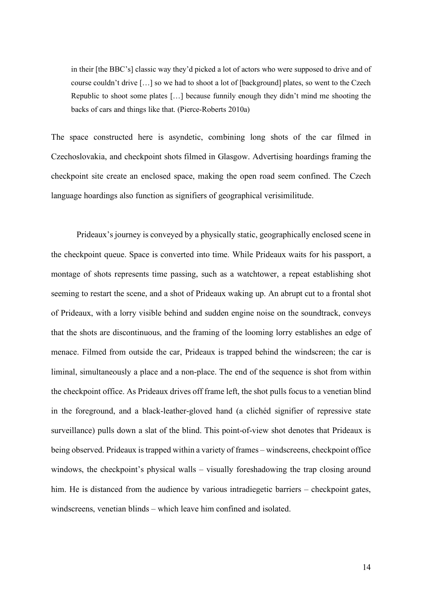in their [the BBC's] classic way they'd picked a lot of actors who were supposed to drive and of course couldn't drive […] so we had to shoot a lot of [background] plates, so went to the Czech Republic to shoot some plates […] because funnily enough they didn't mind me shooting the backs of cars and things like that. (Pierce-Roberts 2010a)

The space constructed here is asyndetic, combining long shots of the car filmed in Czechoslovakia, and checkpoint shots filmed in Glasgow. Advertising hoardings framing the checkpoint site create an enclosed space, making the open road seem confined. The Czech language hoardings also function as signifiers of geographical verisimilitude.

Prideaux's journey is conveyed by a physically static, geographically enclosed scene in the checkpoint queue. Space is converted into time. While Prideaux waits for his passport, a montage of shots represents time passing, such as a watchtower, a repeat establishing shot seeming to restart the scene, and a shot of Prideaux waking up. An abrupt cut to a frontal shot of Prideaux, with a lorry visible behind and sudden engine noise on the soundtrack, conveys that the shots are discontinuous, and the framing of the looming lorry establishes an edge of menace. Filmed from outside the car, Prideaux is trapped behind the windscreen; the car is liminal, simultaneously a place and a non-place. The end of the sequence is shot from within the checkpoint office. As Prideaux drives off frame left, the shot pulls focus to a venetian blind in the foreground, and a black-leather-gloved hand (a clichéd signifier of repressive state surveillance) pulls down a slat of the blind. This point-of-view shot denotes that Prideaux is being observed. Prideaux is trapped within a variety of frames – windscreens, checkpoint office windows, the checkpoint's physical walls – visually foreshadowing the trap closing around him. He is distanced from the audience by various intradiegetic barriers – checkpoint gates, windscreens, venetian blinds – which leave him confined and isolated.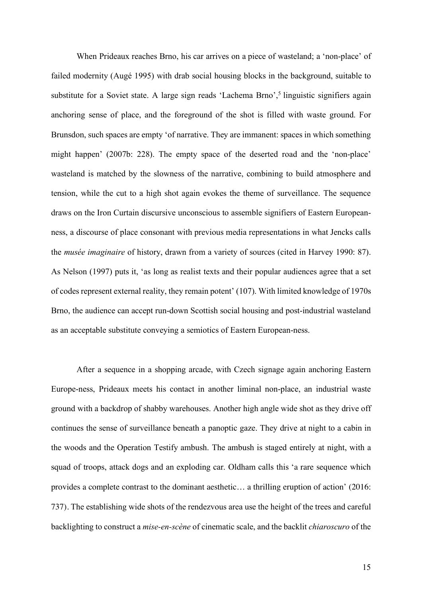When Prideaux reaches Brno, his car arrives on a piece of wasteland; a 'non-place' of failed modernity (Augé 1995) with drab social housing blocks in the background, suitable to substitute for a Soviet state. A large sign reads 'Lachema Brno',<sup>5</sup> linguistic signifiers again anchoring sense of place, and the foreground of the shot is filled with waste ground. For Brunsdon, such spaces are empty 'of narrative. They are immanent: spaces in which something might happen' (2007b: 228). The empty space of the deserted road and the 'non-place' wasteland is matched by the slowness of the narrative, combining to build atmosphere and tension, while the cut to a high shot again evokes the theme of surveillance. The sequence draws on the Iron Curtain discursive unconscious to assemble signifiers of Eastern Europeanness, a discourse of place consonant with previous media representations in what Jencks calls the *musée imaginaire* of history, drawn from a variety of sources (cited in Harvey 1990: 87). As Nelson (1997) puts it, 'as long as realist texts and their popular audiences agree that a set of codes represent external reality, they remain potent' (107). With limited knowledge of 1970s Brno, the audience can accept run-down Scottish social housing and post-industrial wasteland as an acceptable substitute conveying a semiotics of Eastern European-ness.

After a sequence in a shopping arcade, with Czech signage again anchoring Eastern Europe-ness, Prideaux meets his contact in another liminal non-place, an industrial waste ground with a backdrop of shabby warehouses. Another high angle wide shot as they drive off continues the sense of surveillance beneath a panoptic gaze. They drive at night to a cabin in the woods and the Operation Testify ambush. The ambush is staged entirely at night, with a squad of troops, attack dogs and an exploding car. Oldham calls this 'a rare sequence which provides a complete contrast to the dominant aesthetic… a thrilling eruption of action' (2016: 737). The establishing wide shots of the rendezvous area use the height of the trees and careful backlighting to construct a *mise-en-scène* of cinematic scale, and the backlit *chiaroscuro* of the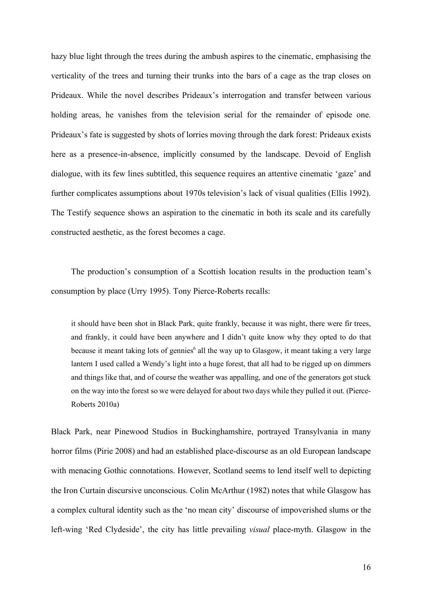hazy blue light through the trees during the ambush aspires to the cinematic, emphasising the verticality of the trees and turning their trunks into the bars of a cage as the trap closes on Prideaux. While the novel describes Prideaux's interrogation and transfer between various holding areas, he vanishes from the television serial for the remainder of episode one. Prideaux's fate is suggested by shots of lorries moving through the dark forest: Prideaux exists here as a presence-in-absence, implicitly consumed by the landscape. Devoid of English dialogue, with its few lines subtitled, this sequence requires an attentive cinematic 'gaze' and further complicates assumptions about 1970s television's lack of visual qualities (Ellis 1992). The Testify sequence shows an aspiration to the cinematic in both its scale and its carefully constructed aesthetic, as the forest becomes a cage.

The production's consumption of a Scottish location results in the production team's consumption by place (Urry 1995). Tony Pierce-Roberts recalls:

it should have been shot in Black Park, quite frankly, because it was night, there were fir trees, and frankly, it could have been anywhere and I didn't quite know why they opted to do that because it meant taking lots of gennies<sup>6</sup> all the way up to Glasgow, it meant taking a very large lantern I used called a Wendy's light into a huge forest, that all had to be rigged up on dimmers and things like that, and of course the weather was appalling, and one of the generators got stuck on the way into the forest so we were delayed for about two days while they pulled it out. (Pierce-Roberts 2010a)

Black Park, near Pinewood Studios in Buckinghamshire, portrayed Transylvania in many horror films (Pirie 2008) and had an established place-discourse as an old European landscape with menacing Gothic connotations. However, Scotland seems to lend itself well to depicting the Iron Curtain discursive unconscious. Colin McArthur (1982) notes that while Glasgow has a complex cultural identity such as the 'no mean city' discourse of impoverished slums or the left-wing 'Red Clydeside', the city has little prevailing *visual* place-myth. Glasgow in the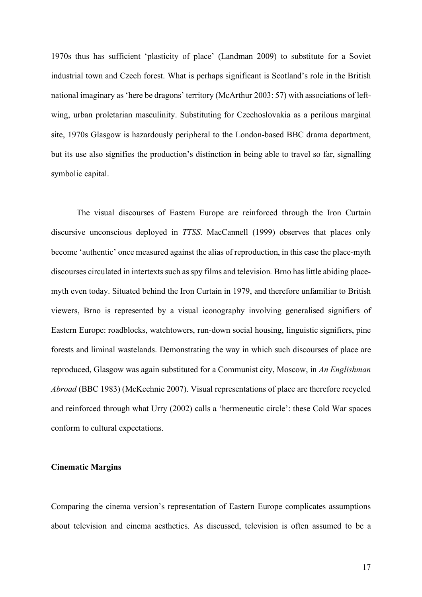1970s thus has sufficient 'plasticity of place' (Landman 2009) to substitute for a Soviet industrial town and Czech forest. What is perhaps significant is Scotland's role in the British national imaginary as 'here be dragons' territory (McArthur 2003: 57) with associations of leftwing, urban proletarian masculinity. Substituting for Czechoslovakia as a perilous marginal site, 1970s Glasgow is hazardously peripheral to the London-based BBC drama department, but its use also signifies the production's distinction in being able to travel so far, signalling symbolic capital.

The visual discourses of Eastern Europe are reinforced through the Iron Curtain discursive unconscious deployed in *TTSS*. MacCannell (1999) observes that places only become 'authentic' once measured against the alias of reproduction, in this case the place-myth discourses circulated in intertexts such as spy films and television*.* Brno has little abiding placemyth even today. Situated behind the Iron Curtain in 1979, and therefore unfamiliar to British viewers, Brno is represented by a visual iconography involving generalised signifiers of Eastern Europe: roadblocks, watchtowers, run-down social housing, linguistic signifiers, pine forests and liminal wastelands. Demonstrating the way in which such discourses of place are reproduced, Glasgow was again substituted for a Communist city, Moscow, in *An Englishman Abroad* (BBC 1983) (McKechnie 2007). Visual representations of place are therefore recycled and reinforced through what Urry (2002) calls a 'hermeneutic circle': these Cold War spaces conform to cultural expectations.

# **Cinematic Margins**

Comparing the cinema version's representation of Eastern Europe complicates assumptions about television and cinema aesthetics. As discussed, television is often assumed to be a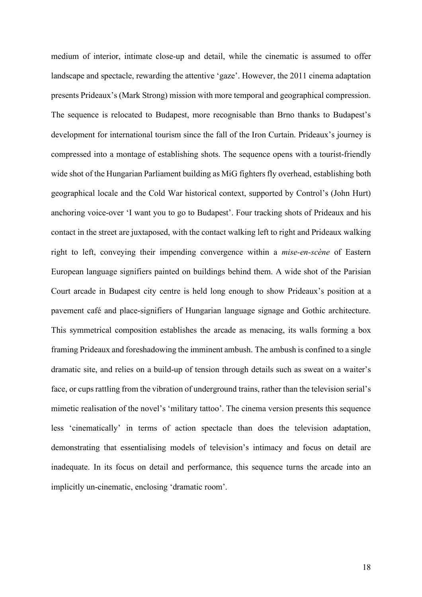medium of interior, intimate close-up and detail, while the cinematic is assumed to offer landscape and spectacle, rewarding the attentive 'gaze'. However, the 2011 cinema adaptation presents Prideaux's (Mark Strong) mission with more temporal and geographical compression. The sequence is relocated to Budapest, more recognisable than Brno thanks to Budapest's development for international tourism since the fall of the Iron Curtain. Prideaux's journey is compressed into a montage of establishing shots. The sequence opens with a tourist-friendly wide shot of the Hungarian Parliament building as MiG fighters fly overhead, establishing both geographical locale and the Cold War historical context, supported by Control's (John Hurt) anchoring voice-over 'I want you to go to Budapest'. Four tracking shots of Prideaux and his contact in the street are juxtaposed, with the contact walking left to right and Prideaux walking right to left, conveying their impending convergence within a *mise-en-scène* of Eastern European language signifiers painted on buildings behind them. A wide shot of the Parisian Court arcade in Budapest city centre is held long enough to show Prideaux's position at a pavement café and place-signifiers of Hungarian language signage and Gothic architecture. This symmetrical composition establishes the arcade as menacing, its walls forming a box framing Prideaux and foreshadowing the imminent ambush. The ambush is confined to a single dramatic site, and relies on a build-up of tension through details such as sweat on a waiter's face, or cups rattling from the vibration of underground trains, rather than the television serial's mimetic realisation of the novel's 'military tattoo'. The cinema version presents this sequence less 'cinematically' in terms of action spectacle than does the television adaptation, demonstrating that essentialising models of television's intimacy and focus on detail are inadequate. In its focus on detail and performance, this sequence turns the arcade into an implicitly un-cinematic, enclosing 'dramatic room'.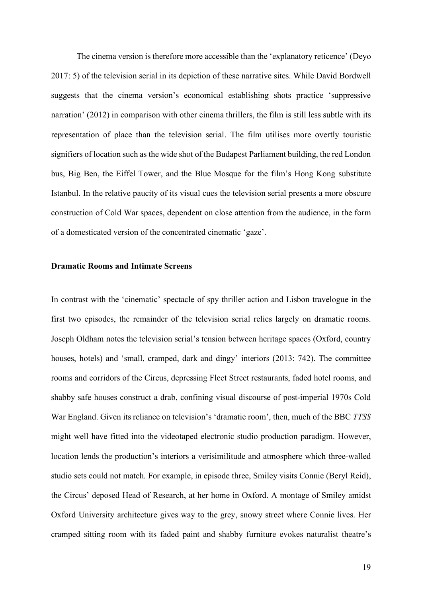The cinema version is therefore more accessible than the 'explanatory reticence' (Deyo 2017: 5) of the television serial in its depiction of these narrative sites. While David Bordwell suggests that the cinema version's economical establishing shots practice 'suppressive narration' (2012) in comparison with other cinema thrillers, the film is still less subtle with its representation of place than the television serial. The film utilises more overtly touristic signifiers of location such as the wide shot of the Budapest Parliament building, the red London bus, Big Ben, the Eiffel Tower, and the Blue Mosque for the film's Hong Kong substitute Istanbul. In the relative paucity of its visual cues the television serial presents a more obscure construction of Cold War spaces, dependent on close attention from the audience, in the form of a domesticated version of the concentrated cinematic 'gaze'.

#### **Dramatic Rooms and Intimate Screens**

In contrast with the 'cinematic' spectacle of spy thriller action and Lisbon travelogue in the first two episodes, the remainder of the television serial relies largely on dramatic rooms. Joseph Oldham notes the television serial's tension between heritage spaces (Oxford, country houses, hotels) and 'small, cramped, dark and dingy' interiors (2013: 742). The committee rooms and corridors of the Circus, depressing Fleet Street restaurants, faded hotel rooms, and shabby safe houses construct a drab, confining visual discourse of post-imperial 1970s Cold War England. Given its reliance on television's 'dramatic room', then, much of the BBC *TTSS* might well have fitted into the videotaped electronic studio production paradigm. However, location lends the production's interiors a verisimilitude and atmosphere which three-walled studio sets could not match. For example, in episode three, Smiley visits Connie (Beryl Reid), the Circus' deposed Head of Research, at her home in Oxford. A montage of Smiley amidst Oxford University architecture gives way to the grey, snowy street where Connie lives. Her cramped sitting room with its faded paint and shabby furniture evokes naturalist theatre's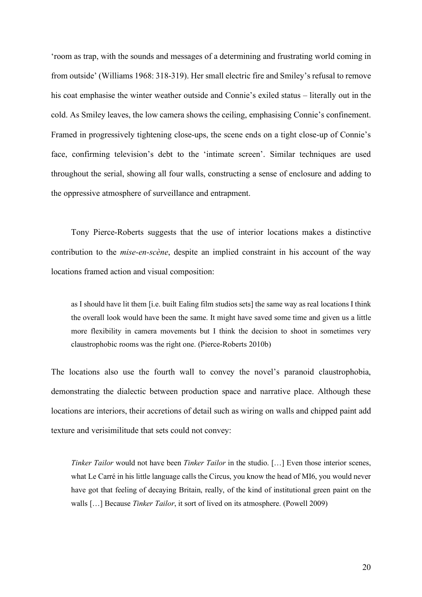'room as trap, with the sounds and messages of a determining and frustrating world coming in from outside' (Williams 1968: 318-319). Her small electric fire and Smiley's refusal to remove his coat emphasise the winter weather outside and Connie's exiled status – literally out in the cold. As Smiley leaves, the low camera shows the ceiling, emphasising Connie's confinement. Framed in progressively tightening close-ups, the scene ends on a tight close-up of Connie's face, confirming television's debt to the 'intimate screen'. Similar techniques are used throughout the serial, showing all four walls, constructing a sense of enclosure and adding to the oppressive atmosphere of surveillance and entrapment.

Tony Pierce-Roberts suggests that the use of interior locations makes a distinctive contribution to the *mise-en-scène*, despite an implied constraint in his account of the way locations framed action and visual composition:

as I should have lit them [i.e. built Ealing film studios sets] the same way as real locations I think the overall look would have been the same. It might have saved some time and given us a little more flexibility in camera movements but I think the decision to shoot in sometimes very claustrophobic rooms was the right one. (Pierce-Roberts 2010b)

The locations also use the fourth wall to convey the novel's paranoid claustrophobia, demonstrating the dialectic between production space and narrative place. Although these locations are interiors, their accretions of detail such as wiring on walls and chipped paint add texture and verisimilitude that sets could not convey:

*Tinker Tailor* would not have been *Tinker Tailor* in the studio. […] Even those interior scenes, what Le Carré in his little language calls the Circus, you know the head of MI6, you would never have got that feeling of decaying Britain, really, of the kind of institutional green paint on the walls […] Because *Tinker Tailor*, it sort of lived on its atmosphere. (Powell 2009)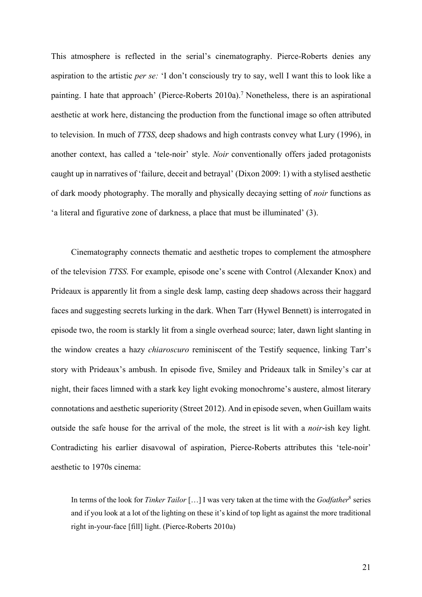This atmosphere is reflected in the serial's cinematography. Pierce-Roberts denies any aspiration to the artistic *per se:* 'I don't consciously try to say, well I want this to look like a painting. I hate that approach' (Pierce-Roberts 2010a).<sup>7</sup> Nonetheless, there is an aspirational aesthetic at work here, distancing the production from the functional image so often attributed to television. In much of *TTSS*, deep shadows and high contrasts convey what Lury (1996), in another context, has called a 'tele-noir' style. *Noir* conventionally offers jaded protagonists caught up in narratives of 'failure, deceit and betrayal' (Dixon 2009: 1) with a stylised aesthetic of dark moody photography. The morally and physically decaying setting of *noir* functions as 'a literal and figurative zone of darkness, a place that must be illuminated' (3).

Cinematography connects thematic and aesthetic tropes to complement the atmosphere of the television *TTSS*. For example, episode one's scene with Control (Alexander Knox) and Prideaux is apparently lit from a single desk lamp, casting deep shadows across their haggard faces and suggesting secrets lurking in the dark. When Tarr (Hywel Bennett) is interrogated in episode two, the room is starkly lit from a single overhead source; later, dawn light slanting in the window creates a hazy *chiaroscuro* reminiscent of the Testify sequence, linking Tarr's story with Prideaux's ambush. In episode five, Smiley and Prideaux talk in Smiley's car at night, their faces limned with a stark key light evoking monochrome's austere, almost literary connotations and aesthetic superiority (Street 2012). And in episode seven, when Guillam waits outside the safe house for the arrival of the mole, the street is lit with a *noir*-ish key light*.* Contradicting his earlier disavowal of aspiration, Pierce-Roberts attributes this 'tele-noir' aesthetic to 1970s cinema:

In terms of the look for *Tinker Tailor* [...] I was very taken at the time with the *Godfather*<sup>8</sup> series and if you look at a lot of the lighting on these it's kind of top light as against the more traditional right in-your-face [fill] light. (Pierce-Roberts 2010a)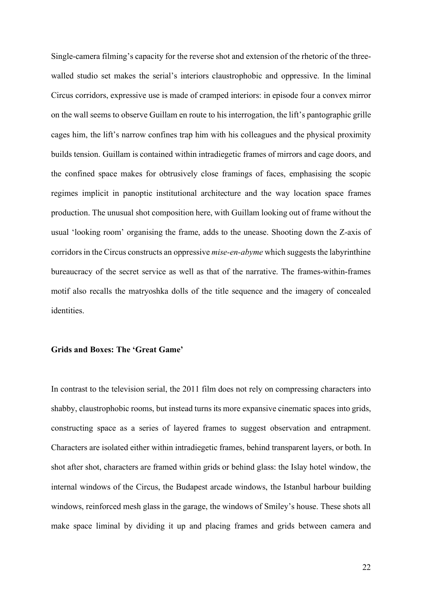Single-camera filming's capacity for the reverse shot and extension of the rhetoric of the threewalled studio set makes the serial's interiors claustrophobic and oppressive. In the liminal Circus corridors, expressive use is made of cramped interiors: in episode four a convex mirror on the wall seems to observe Guillam en route to his interrogation, the lift's pantographic grille cages him, the lift's narrow confines trap him with his colleagues and the physical proximity builds tension. Guillam is contained within intradiegetic frames of mirrors and cage doors, and the confined space makes for obtrusively close framings of faces, emphasising the scopic regimes implicit in panoptic institutional architecture and the way location space frames production. The unusual shot composition here, with Guillam looking out of frame without the usual 'looking room' organising the frame, adds to the unease. Shooting down the Z-axis of corridors in the Circus constructs an oppressive *mise-en-abyme* which suggests the labyrinthine bureaucracy of the secret service as well as that of the narrative. The frames-within-frames motif also recalls the matryoshka dolls of the title sequence and the imagery of concealed identities.

# **Grids and Boxes: The 'Great Game'**

In contrast to the television serial, the 2011 film does not rely on compressing characters into shabby, claustrophobic rooms, but instead turns its more expansive cinematic spaces into grids, constructing space as a series of layered frames to suggest observation and entrapment. Characters are isolated either within intradiegetic frames, behind transparent layers, or both. In shot after shot, characters are framed within grids or behind glass: the Islay hotel window, the internal windows of the Circus, the Budapest arcade windows, the Istanbul harbour building windows, reinforced mesh glass in the garage, the windows of Smiley's house. These shots all make space liminal by dividing it up and placing frames and grids between camera and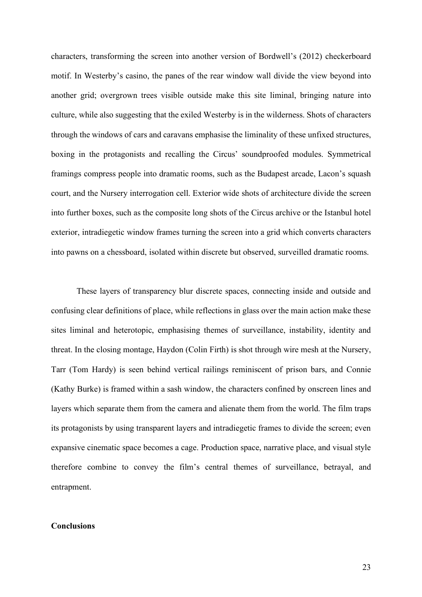characters, transforming the screen into another version of Bordwell's (2012) checkerboard motif. In Westerby's casino, the panes of the rear window wall divide the view beyond into another grid; overgrown trees visible outside make this site liminal, bringing nature into culture, while also suggesting that the exiled Westerby is in the wilderness. Shots of characters through the windows of cars and caravans emphasise the liminality of these unfixed structures, boxing in the protagonists and recalling the Circus' soundproofed modules. Symmetrical framings compress people into dramatic rooms, such as the Budapest arcade, Lacon's squash court, and the Nursery interrogation cell. Exterior wide shots of architecture divide the screen into further boxes, such as the composite long shots of the Circus archive or the Istanbul hotel exterior, intradiegetic window frames turning the screen into a grid which converts characters into pawns on a chessboard, isolated within discrete but observed, surveilled dramatic rooms.

These layers of transparency blur discrete spaces, connecting inside and outside and confusing clear definitions of place, while reflections in glass over the main action make these sites liminal and heterotopic, emphasising themes of surveillance, instability, identity and threat. In the closing montage, Haydon (Colin Firth) is shot through wire mesh at the Nursery, Tarr (Tom Hardy) is seen behind vertical railings reminiscent of prison bars, and Connie (Kathy Burke) is framed within a sash window, the characters confined by onscreen lines and layers which separate them from the camera and alienate them from the world. The film traps its protagonists by using transparent layers and intradiegetic frames to divide the screen; even expansive cinematic space becomes a cage. Production space, narrative place, and visual style therefore combine to convey the film's central themes of surveillance, betrayal, and entrapment.

# **Conclusions**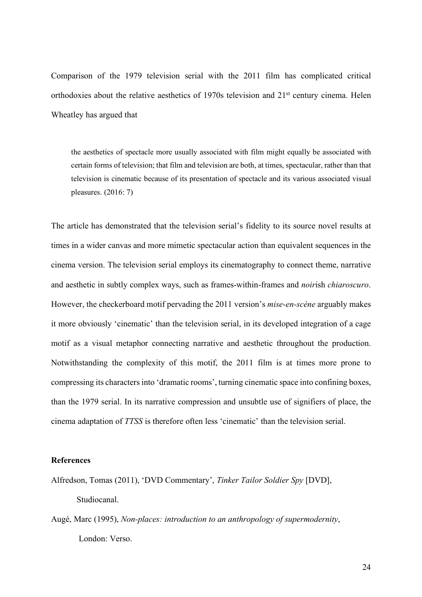Comparison of the 1979 television serial with the 2011 film has complicated critical orthodoxies about the relative aesthetics of 1970s television and 21st century cinema. Helen Wheatley has argued that

the aesthetics of spectacle more usually associated with film might equally be associated with certain forms of television; that film and television are both, at times, spectacular, rather than that television is cinematic because of its presentation of spectacle and its various associated visual pleasures. (2016: 7)

The article has demonstrated that the television serial's fidelity to its source novel results at times in a wider canvas and more mimetic spectacular action than equivalent sequences in the cinema version. The television serial employs its cinematography to connect theme, narrative and aesthetic in subtly complex ways, such as frames-within-frames and *noir*ish *chiaroscuro*. However, the checkerboard motif pervading the 2011 version's *mise-en-scène* arguably makes it more obviously 'cinematic' than the television serial, in its developed integration of a cage motif as a visual metaphor connecting narrative and aesthetic throughout the production. Notwithstanding the complexity of this motif, the 2011 film is at times more prone to compressing its characters into 'dramatic rooms', turning cinematic space into confining boxes, than the 1979 serial. In its narrative compression and unsubtle use of signifiers of place, the cinema adaptation of *TTSS* is therefore often less 'cinematic' than the television serial.

#### **References**

- Alfredson, Tomas (2011), 'DVD Commentary', *Tinker Tailor Soldier Spy* [DVD], Studiocanal.
- Augé, Marc (1995), *Non-places: introduction to an anthropology of supermodernity*, London: Verso.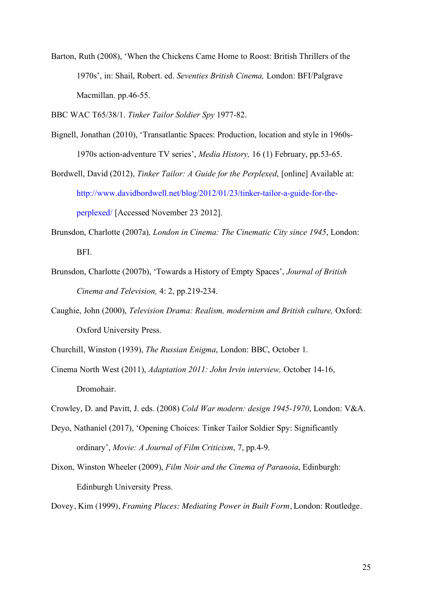Barton, Ruth (2008), 'When the Chickens Came Home to Roost: British Thrillers of the 1970s', in: Shail, Robert. ed. *Seventies British Cinema,* London: BFI/Palgrave Macmillan. pp.46-55.

BBC WAC T65/38/1. *Tinker Tailor Soldier Spy* 1977-82.

- Bignell, Jonathan (2010), 'Transatlantic Spaces: Production, location and style in 1960s-1970s action-adventure TV series', *Media History,* 16 (1) February, pp.53-65.
- Bordwell, David (2012), *Tinker Tailor: A Guide for the Perplexed*, [online] Available at: http://www.davidbordwell.net/blog/2012/01/23/tinker-tailor-a-guide-for-theperplexed/ [Accessed November 23 2012].
- Brunsdon, Charlotte (2007a)*, London in Cinema: The Cinematic City since 1945*, London: BFI.
- Brunsdon, Charlotte (2007b), 'Towards a History of Empty Spaces', *Journal of British Cinema and Television,* 4: 2, pp.219-234.
- Caughie, John (2000), *Television Drama: Realism, modernism and British culture,* Oxford: Oxford University Press.
- Churchill, Winston (1939), *The Russian Enigma*, London: BBC, October 1.
- Cinema North West (2011), *Adaptation 2011: John Irvin interview,* October 14-16, Dromohair.
- Crowley, D. and Pavitt, J. eds. (2008) *Cold War modern: design 1945-1970*, London: V&A.
- Deyo, Nathaniel (2017), 'Opening Choices: Tinker Tailor Soldier Spy: Significantly ordinary', *Movie: A Journal of Film Criticism*, 7, pp.4-9.
- Dixon, Winston Wheeler (2009), *Film Noir and the Cinema of Paranoia*, Edinburgh: Edinburgh University Press.

Dovey, Kim (1999), *Framing Places: Mediating Power in Built Form*, London: Routledge.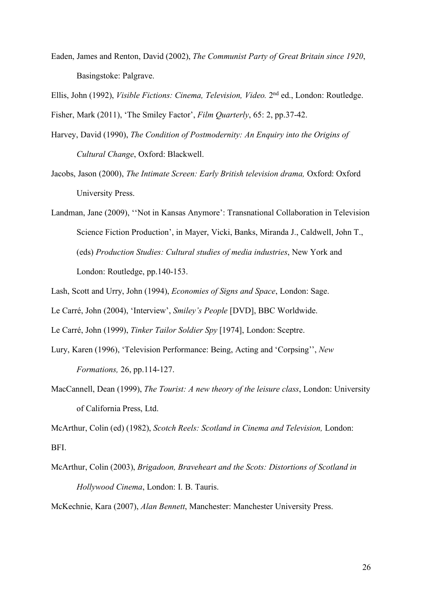Eaden, James and Renton, David (2002), *The Communist Party of Great Britain since 1920*, Basingstoke: Palgrave.

Ellis, John (1992), *Visible Fictions: Cinema, Television, Video.* 2nd ed., London: Routledge. Fisher, Mark (2011), 'The Smiley Factor', *Film Quarterly*, 65: 2, pp.37-42.

- Harvey, David (1990), *The Condition of Postmodernity: An Enquiry into the Origins of Cultural Change*, Oxford: Blackwell.
- Jacobs, Jason (2000), *The Intimate Screen: Early British television drama,* Oxford: Oxford University Press.

Landman, Jane (2009), ''Not in Kansas Anymore': Transnational Collaboration in Television Science Fiction Production', in Mayer, Vicki, Banks, Miranda J., Caldwell, John T., (eds) *Production Studies: Cultural studies of media industries*, New York and London: Routledge, pp.140-153.

Lash, Scott and Urry, John (1994), *Economies of Signs and Space*, London: Sage.

Le Carré, John (2004), 'Interview', *Smiley's People* [DVD], BBC Worldwide.

Le Carré, John (1999), *Tinker Tailor Soldier Spy* [1974], London: Sceptre.

- Lury, Karen (1996), 'Television Performance: Being, Acting and 'Corpsing'', *New Formations,* 26, pp.114-127.
- MacCannell, Dean (1999), *The Tourist: A new theory of the leisure class*, London: University of California Press, Ltd.

McArthur, Colin (ed) (1982), *Scotch Reels: Scotland in Cinema and Television,* London: BFI.

McArthur, Colin (2003), *Brigadoon, Braveheart and the Scots: Distortions of Scotland in Hollywood Cinema*, London: I. B. Tauris.

McKechnie, Kara (2007), *Alan Bennett*, Manchester: Manchester University Press.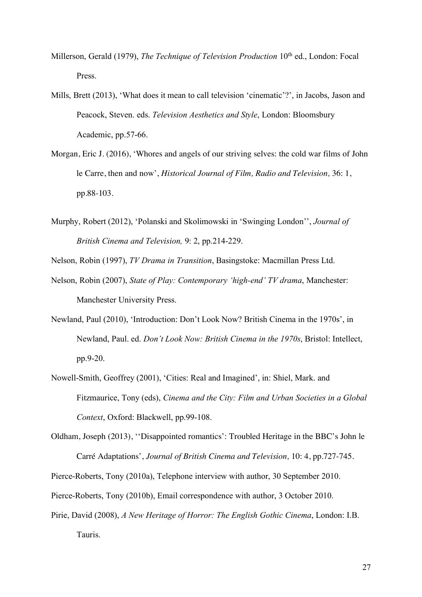- Millerson, Gerald (1979), *The Technique of Television Production* 10<sup>th</sup> ed., London: Focal Press.
- Mills, Brett (2013), 'What does it mean to call television 'cinematic'?', in Jacobs, Jason and Peacock, Steven. eds. *Television Aesthetics and Style*, London: Bloomsbury Academic, pp.57-66.
- Morgan, Eric J. (2016), 'Whores and angels of our striving selves: the cold war films of John le Carre, then and now', *Historical Journal of Film, Radio and Television,* 36: 1, pp.88-103.
- Murphy, Robert (2012), 'Polanski and Skolimowski in 'Swinging London'', *Journal of British Cinema and Television,* 9: 2, pp.214-229.

Nelson, Robin (1997), *TV Drama in Transition*, Basingstoke: Macmillan Press Ltd.

- Nelson, Robin (2007), *State of Play: Contemporary 'high-end' TV drama*, Manchester: Manchester University Press.
- Newland, Paul (2010), 'Introduction: Don't Look Now? British Cinema in the 1970s', in Newland, Paul. ed. *Don't Look Now: British Cinema in the 1970s*, Bristol: Intellect, pp.9-20.
- Nowell-Smith, Geoffrey (2001), 'Cities: Real and Imagined', in: Shiel, Mark. and Fitzmaurice, Tony (eds), *Cinema and the City: Film and Urban Societies in a Global Context*, Oxford: Blackwell, pp.99-108.
- Oldham, Joseph (2013), ''Disappointed romantics': Troubled Heritage in the BBC's John le Carré Adaptations', *Journal of British Cinema and Television,* 10: 4, pp.727-745.

Pierce-Roberts, Tony (2010a), Telephone interview with author, 30 September 2010.

Pierce-Roberts, Tony (2010b), Email correspondence with author, 3 October 2010.

Pirie, David (2008), *A New Heritage of Horror: The English Gothic Cinema*, London: I.B. Tauris.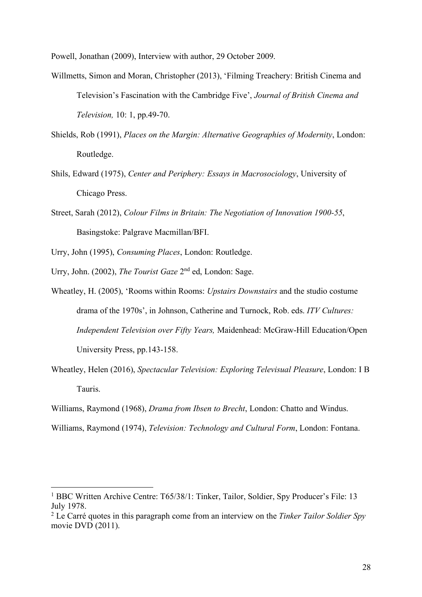Powell, Jonathan (2009), Interview with author, 29 October 2009.

- Willmetts, Simon and Moran, Christopher (2013), 'Filming Treachery: British Cinema and Television's Fascination with the Cambridge Five', *Journal of British Cinema and Television,* 10: 1, pp.49-70.
- Shields, Rob (1991), *Places on the Margin: Alternative Geographies of Modernity*, London: Routledge.
- Shils, Edward (1975), *Center and Periphery: Essays in Macrosociology*, University of Chicago Press.
- Street, Sarah (2012), *Colour Films in Britain: The Negotiation of Innovation 1900-55*, Basingstoke: Palgrave Macmillan/BFI.
- Urry, John (1995), *Consuming Places*, London: Routledge.
- Urry, John. (2002), *The Tourist Gaze* 2nd ed, London: Sage.

 $\overline{a}$ 

- Wheatley, H. (2005), 'Rooms within Rooms: *Upstairs Downstairs* and the studio costume drama of the 1970s', in Johnson, Catherine and Turnock, Rob. eds. *ITV Cultures: Independent Television over Fifty Years,* Maidenhead: McGraw-Hill Education/Open University Press, pp.143-158.
- Wheatley, Helen (2016), *Spectacular Television: Exploring Televisual Pleasure*, London: I B Tauris.
- Williams, Raymond (1968), *Drama from Ibsen to Brecht*, London: Chatto and Windus.
- Williams, Raymond (1974), *Television: Technology and Cultural Form*, London: Fontana.

<sup>&</sup>lt;sup>1</sup> BBC Written Archive Centre: T65/38/1: Tinker, Tailor, Soldier, Spy Producer's File: 13 July 1978.

<sup>2</sup> Le Carré quotes in this paragraph come from an interview on the *Tinker Tailor Soldier Spy*  movie DVD (2011).